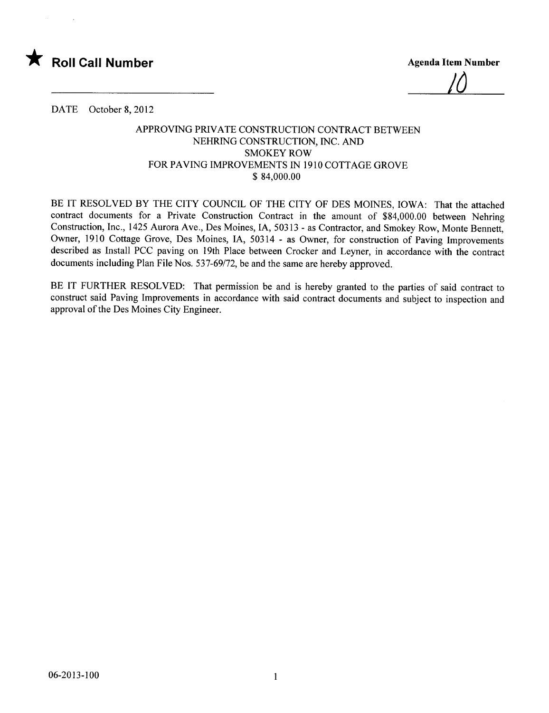

/ò

DATE October 8, 2012

## APPROVING PRlV ATE CONSTRUCTION CONTRACT BETWEEN NEHRING CONSTRUCTION, INC. AND SMOKEY ROW FOR PAVING IMPROVEMENTS IN 1910 COTTAGE GROVE \$ 84,000.00

BE IT RESOLVED BY THE CITY COUNCIL OF THE CITY OF DES MOINES, IOWA: That the attached contract documents for a Private Construction Contract in the amount of \$84,000.00 between Nehring Construction, Inc., 1425 Aurora Ave., Des Moines, lA, 50313 - as Contractor, and Smokey Row, Monte Bennett, Owner, 1910 Cottage Grove, Des Moines, lA, 50314 - as Owner, for construction of Paving Improvements described as Install PCC paving on 19th Place between Crocker and Leyner, in accordance with the contract documents including Plan File Nos. 537-69/72, be and the same are hereby approved.

BE IT FURTHER RESOLVED: That permission be and is hereby granted to the parties of said contract to construct said Paving Improvements in accordance with said contract documents and subject to inspection and approval of the Des Moines City Engineer.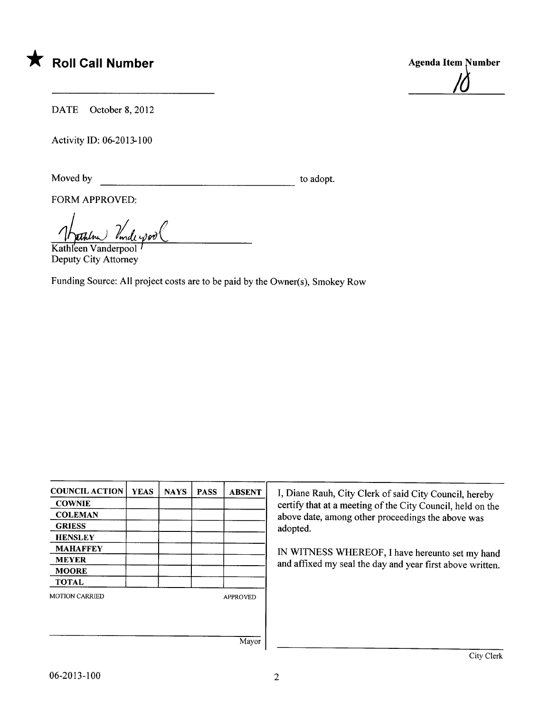



DATE October 8, 2012

Activity ID: 06-2013-100

Moved by to adopt.

FORM APPROVED:

Kathleen Vanderpool Deputy City Attorney

Funding Source: All project costs are to be paid by the Owner(s), Smokey Row

| <b>COUNCIL ACTION</b> | <b>YEAS</b> | <b>NAYS</b>     | <b>PASS</b> | <b>ABSENT</b> |
|-----------------------|-------------|-----------------|-------------|---------------|
| <b>COWNIE</b>         |             |                 |             |               |
| <b>COLEMAN</b>        |             |                 |             |               |
| <b>GRIESS</b>         |             |                 |             |               |
| <b>HENSLEY</b>        |             |                 |             |               |
| <b>MAHAFFEY</b>       |             |                 |             |               |
| <b>MEYER</b>          |             |                 |             |               |
| <b>MOORE</b>          |             |                 |             |               |
| <b>TOTAL</b>          |             |                 |             |               |
| <b>MOTION CARRIED</b> |             | <b>APPROVED</b> |             |               |
|                       |             |                 |             |               |
|                       |             |                 |             |               |
|                       |             |                 |             | Mayor         |

I, Diane Rauh, City Clerk of said City Council, hereby certify that at a meeting of the City Council, held on the above date, among other proceedings the above was adopted.

IN WITNESS WHEREOF, I have hereunto set my hand and affixed my seal the day and year first above written.

Mayor